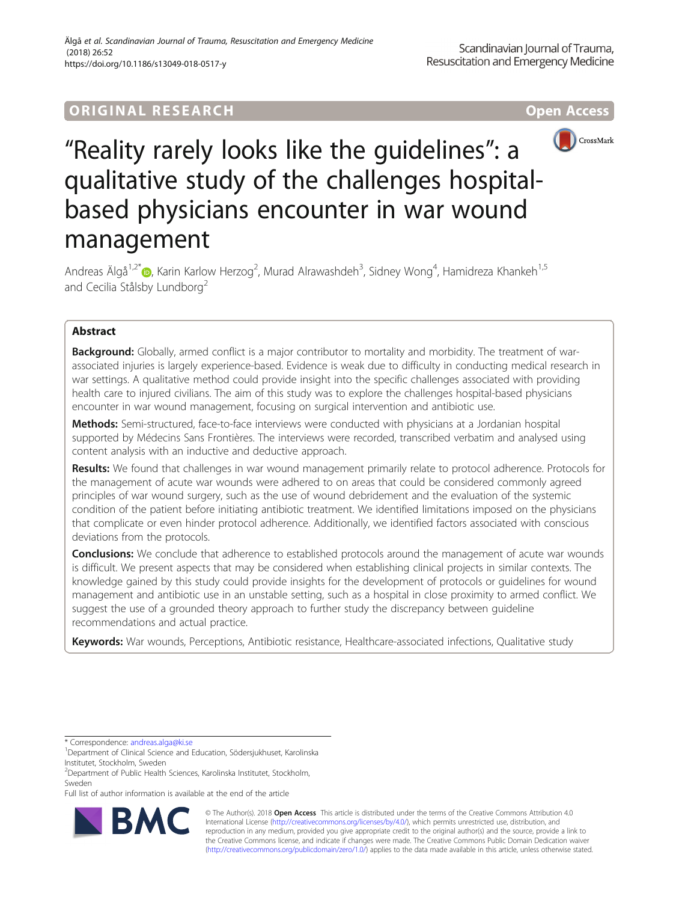# **ORIGINAL RESEARCH CONTROLLER CONTROLLER CONTROLLER CONTROLLER CONTROLLER CONTROLLER CONTROLLER CONTROLLER CONTR**



# "Reality rarely looks like the guidelines": a qualitative study of the challenges hospitalbased physicians encounter in war wound management

Andreas Älgå<sup>1,2[\\*](http://orcid.org/0000-0001-5245-7668)</sup>®, Karin Karlow Herzog<sup>2</sup>, Murad Alrawashdeh<sup>3</sup>, Sidney Wong<sup>4</sup>, Hamidreza Khankeh<sup>1,5</sup> and Cecilia Stålsby Lundborg<sup>2</sup>

# Abstract

**Background:** Globally, armed conflict is a major contributor to mortality and morbidity. The treatment of warassociated injuries is largely experience-based. Evidence is weak due to difficulty in conducting medical research in war settings. A qualitative method could provide insight into the specific challenges associated with providing health care to injured civilians. The aim of this study was to explore the challenges hospital-based physicians encounter in war wound management, focusing on surgical intervention and antibiotic use.

Methods: Semi-structured, face-to-face interviews were conducted with physicians at a Jordanian hospital supported by Médecins Sans Frontières. The interviews were recorded, transcribed verbatim and analysed using content analysis with an inductive and deductive approach.

Results: We found that challenges in war wound management primarily relate to protocol adherence. Protocols for the management of acute war wounds were adhered to on areas that could be considered commonly agreed principles of war wound surgery, such as the use of wound debridement and the evaluation of the systemic condition of the patient before initiating antibiotic treatment. We identified limitations imposed on the physicians that complicate or even hinder protocol adherence. Additionally, we identified factors associated with conscious deviations from the protocols.

**Conclusions:** We conclude that adherence to established protocols around the management of acute war wounds is difficult. We present aspects that may be considered when establishing clinical projects in similar contexts. The knowledge gained by this study could provide insights for the development of protocols or guidelines for wound management and antibiotic use in an unstable setting, such as a hospital in close proximity to armed conflict. We suggest the use of a grounded theory approach to further study the discrepancy between guideline recommendations and actual practice.

Keywords: War wounds, Perceptions, Antibiotic resistance, Healthcare-associated infections, Qualitative study

\* Correspondence: [andreas.alga@ki.se](mailto:andreas.alga@ki.se) <sup>1</sup>

Full list of author information is available at the end of the article



© The Author(s). 2018 Open Access This article is distributed under the terms of the Creative Commons Attribution 4.0 International License [\(http://creativecommons.org/licenses/by/4.0/](http://creativecommons.org/licenses/by/4.0/)), which permits unrestricted use, distribution, and reproduction in any medium, provided you give appropriate credit to the original author(s) and the source, provide a link to the Creative Commons license, and indicate if changes were made. The Creative Commons Public Domain Dedication waiver [\(http://creativecommons.org/publicdomain/zero/1.0/](http://creativecommons.org/publicdomain/zero/1.0/)) applies to the data made available in this article, unless otherwise stated.

<sup>&</sup>lt;sup>1</sup>Department of Clinical Science and Education, Södersjukhuset, Karolinska Institutet, Stockholm, Sweden

<sup>&</sup>lt;sup>2</sup>Department of Public Health Sciences, Karolinska Institutet, Stockholm, Sweden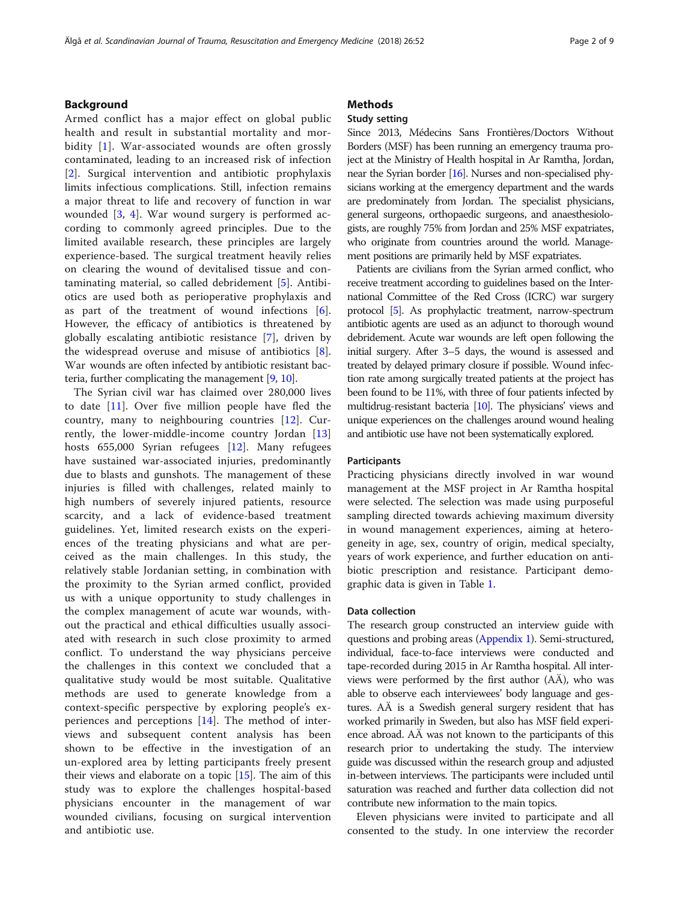#### Background

Armed conflict has a major effect on global public health and result in substantial mortality and mor-bidity [[1\]](#page-8-0). War-associated wounds are often grossly contaminated, leading to an increased risk of infection [[2\]](#page-8-0). Surgical intervention and antibiotic prophylaxis limits infectious complications. Still, infection remains a major threat to life and recovery of function in war wounded [[3](#page-8-0), [4](#page-8-0)]. War wound surgery is performed according to commonly agreed principles. Due to the limited available research, these principles are largely experience-based. The surgical treatment heavily relies on clearing the wound of devitalised tissue and contaminating material, so called debridement [\[5](#page-8-0)]. Antibiotics are used both as perioperative prophylaxis and as part of the treatment of wound infections [\[6](#page-8-0)]. However, the efficacy of antibiotics is threatened by globally escalating antibiotic resistance [[7\]](#page-8-0), driven by the widespread overuse and misuse of antibiotics [\[8](#page-8-0)]. War wounds are often infected by antibiotic resistant bacteria, further complicating the management [[9,](#page-8-0) [10\]](#page-8-0).

The Syrian civil war has claimed over 280,000 lives to date [[11\]](#page-8-0). Over five million people have fled the country, many to neighbouring countries [[12\]](#page-8-0). Currently, the lower-middle-income country Jordan [\[13](#page-8-0)] hosts 655,000 Syrian refugees [[12\]](#page-8-0). Many refugees have sustained war-associated injuries, predominantly due to blasts and gunshots. The management of these injuries is filled with challenges, related mainly to high numbers of severely injured patients, resource scarcity, and a lack of evidence-based treatment guidelines. Yet, limited research exists on the experiences of the treating physicians and what are perceived as the main challenges. In this study, the relatively stable Jordanian setting, in combination with the proximity to the Syrian armed conflict, provided us with a unique opportunity to study challenges in the complex management of acute war wounds, without the practical and ethical difficulties usually associated with research in such close proximity to armed conflict. To understand the way physicians perceive the challenges in this context we concluded that a qualitative study would be most suitable. Qualitative methods are used to generate knowledge from a context-specific perspective by exploring people's experiences and perceptions [[14\]](#page-8-0). The method of interviews and subsequent content analysis has been shown to be effective in the investigation of an un-explored area by letting participants freely present their views and elaborate on a topic [\[15](#page-8-0)]. The aim of this study was to explore the challenges hospital-based physicians encounter in the management of war wounded civilians, focusing on surgical intervention and antibiotic use.

## **Methods**

#### Study setting

Since 2013, Médecins Sans Frontières/Doctors Without Borders (MSF) has been running an emergency trauma project at the Ministry of Health hospital in Ar Ramtha, Jordan, near the Syrian border [[16\]](#page-8-0). Nurses and non-specialised physicians working at the emergency department and the wards are predominately from Jordan. The specialist physicians, general surgeons, orthopaedic surgeons, and anaesthesiologists, are roughly 75% from Jordan and 25% MSF expatriates, who originate from countries around the world. Management positions are primarily held by MSF expatriates.

Patients are civilians from the Syrian armed conflict, who receive treatment according to guidelines based on the International Committee of the Red Cross (ICRC) war surgery protocol [\[5\]](#page-8-0). As prophylactic treatment, narrow-spectrum antibiotic agents are used as an adjunct to thorough wound debridement. Acute war wounds are left open following the initial surgery. After 3–5 days, the wound is assessed and treated by delayed primary closure if possible. Wound infection rate among surgically treated patients at the project has been found to be 11%, with three of four patients infected by multidrug-resistant bacteria [\[10](#page-8-0)]. The physicians' views and unique experiences on the challenges around wound healing and antibiotic use have not been systematically explored.

#### Participants

Practicing physicians directly involved in war wound management at the MSF project in Ar Ramtha hospital were selected. The selection was made using purposeful sampling directed towards achieving maximum diversity in wound management experiences, aiming at heterogeneity in age, sex, country of origin, medical specialty, years of work experience, and further education on antibiotic prescription and resistance. Participant demographic data is given in Table [1.](#page-2-0)

#### Data collection

The research group constructed an interview guide with questions and probing areas [\(Appendix 1\)](#page-7-0). Semi-structured, individual, face-to-face interviews were conducted and tape-recorded during 2015 in Ar Ramtha hospital. All interviews were performed by the first author (AÄ), who was able to observe each interviewees' body language and gestures. AÄ is a Swedish general surgery resident that has worked primarily in Sweden, but also has MSF field experience abroad. AÄ was not known to the participants of this research prior to undertaking the study. The interview guide was discussed within the research group and adjusted in-between interviews. The participants were included until saturation was reached and further data collection did not contribute new information to the main topics.

Eleven physicians were invited to participate and all consented to the study. In one interview the recorder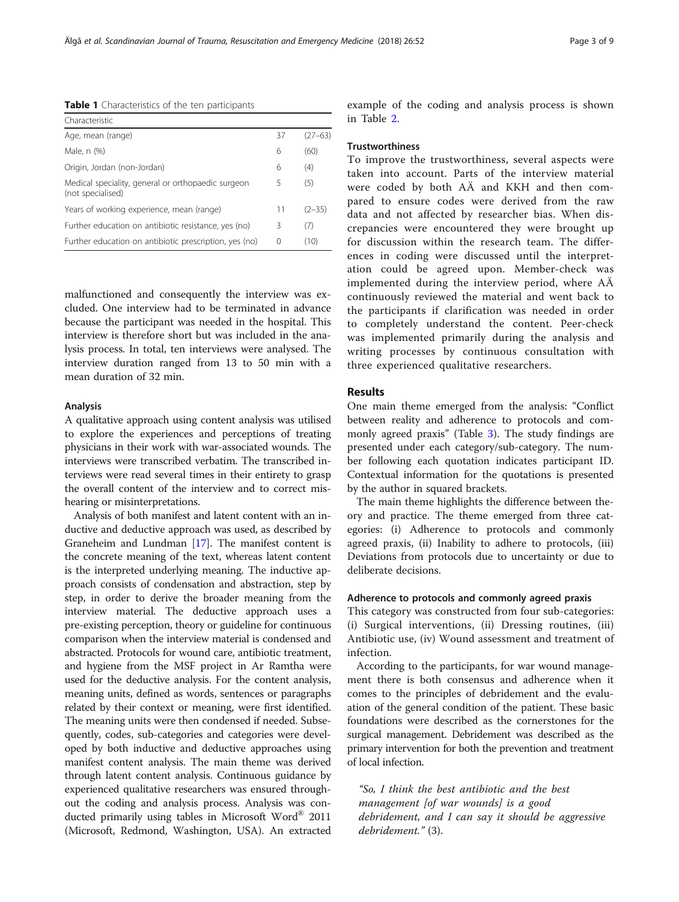<span id="page-2-0"></span>Table 1 Characteristics of the ten participants

| Characteristic                                                          |    |            |
|-------------------------------------------------------------------------|----|------------|
| Age, mean (range)                                                       | 37 | (27–63)    |
| Male, n (%)                                                             | 6  | (60)       |
| Origin, Jordan (non-Jordan)                                             | 6  | (4)        |
| Medical speciality, general or orthopaedic surgeon<br>(not specialised) | 5  | (5)        |
| Years of working experience, mean (range)                               | 11 | $(2 - 35)$ |
| Further education on antibiotic resistance, yes (no)                    | 3  | (7)        |
| Further education on antibiotic prescription, yes (no)                  | 0  | (10)       |

malfunctioned and consequently the interview was excluded. One interview had to be terminated in advance because the participant was needed in the hospital. This interview is therefore short but was included in the analysis process. In total, ten interviews were analysed. The interview duration ranged from 13 to 50 min with a mean duration of 32 min.

#### Analysis

A qualitative approach using content analysis was utilised to explore the experiences and perceptions of treating physicians in their work with war-associated wounds. The interviews were transcribed verbatim. The transcribed interviews were read several times in their entirety to grasp the overall content of the interview and to correct mishearing or misinterpretations.

Analysis of both manifest and latent content with an inductive and deductive approach was used, as described by Graneheim and Lundman [\[17](#page-8-0)]. The manifest content is the concrete meaning of the text, whereas latent content is the interpreted underlying meaning. The inductive approach consists of condensation and abstraction, step by step, in order to derive the broader meaning from the interview material. The deductive approach uses a pre-existing perception, theory or guideline for continuous comparison when the interview material is condensed and abstracted. Protocols for wound care, antibiotic treatment, and hygiene from the MSF project in Ar Ramtha were used for the deductive analysis. For the content analysis, meaning units, defined as words, sentences or paragraphs related by their context or meaning, were first identified. The meaning units were then condensed if needed. Subsequently, codes, sub-categories and categories were developed by both inductive and deductive approaches using manifest content analysis. The main theme was derived through latent content analysis. Continuous guidance by experienced qualitative researchers was ensured throughout the coding and analysis process. Analysis was conducted primarily using tables in Microsoft Word® 2011 (Microsoft, Redmond, Washington, USA). An extracted example of the coding and analysis process is shown in Table [2](#page-3-0).

#### **Trustworthiness**

To improve the trustworthiness, several aspects were taken into account. Parts of the interview material were coded by both AÄ and KKH and then compared to ensure codes were derived from the raw data and not affected by researcher bias. When discrepancies were encountered they were brought up for discussion within the research team. The differences in coding were discussed until the interpretation could be agreed upon. Member-check was implemented during the interview period, where AÄ continuously reviewed the material and went back to the participants if clarification was needed in order to completely understand the content. Peer-check was implemented primarily during the analysis and writing processes by continuous consultation with three experienced qualitative researchers.

#### Results

One main theme emerged from the analysis: "Conflict between reality and adherence to protocols and commonly agreed praxis" (Table [3\)](#page-3-0). The study findings are presented under each category/sub-category. The number following each quotation indicates participant ID. Contextual information for the quotations is presented by the author in squared brackets.

The main theme highlights the difference between theory and practice. The theme emerged from three categories: (i) Adherence to protocols and commonly agreed praxis, (ii) Inability to adhere to protocols, (iii) Deviations from protocols due to uncertainty or due to deliberate decisions.

#### Adherence to protocols and commonly agreed praxis

This category was constructed from four sub-categories: (i) Surgical interventions, (ii) Dressing routines, (iii) Antibiotic use, (iv) Wound assessment and treatment of infection.

According to the participants, for war wound management there is both consensus and adherence when it comes to the principles of debridement and the evaluation of the general condition of the patient. These basic foundations were described as the cornerstones for the surgical management. Debridement was described as the primary intervention for both the prevention and treatment of local infection.

"So, I think the best antibiotic and the best management [of war wounds] is a good debridement, and I can say it should be aggressive debridement." (3).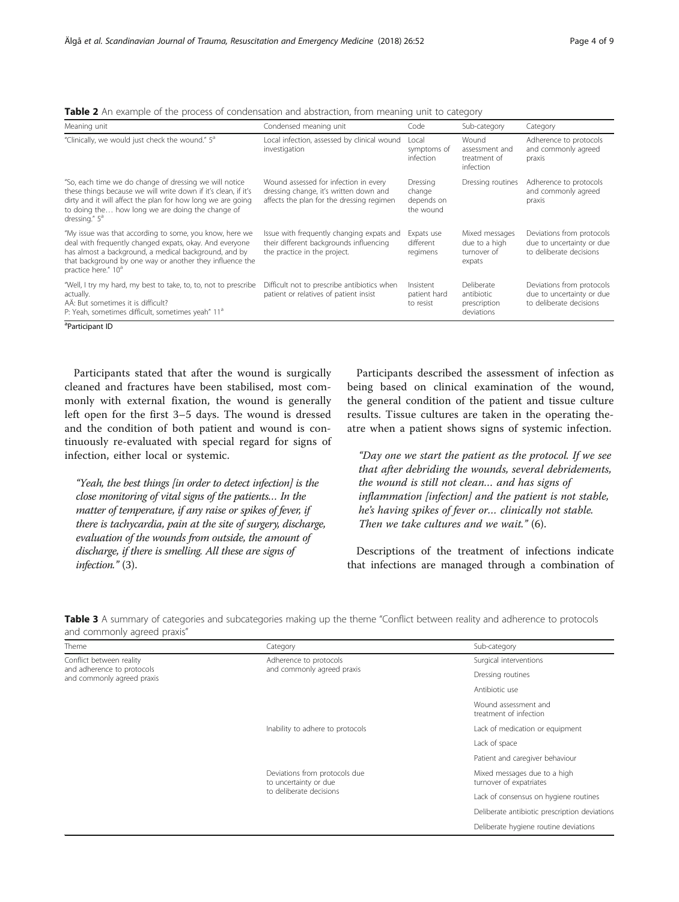<span id="page-3-0"></span>

| Table 2 An example of the process of condensation and abstraction, from meaning unit to category |  |  |
|--------------------------------------------------------------------------------------------------|--|--|
|--------------------------------------------------------------------------------------------------|--|--|

| Meaning unit                                                                                                                                                                                                                                                               | Condensed meaning unit                                                                                                       | Code                                          | Sub-category                                             | Category                                                                          |
|----------------------------------------------------------------------------------------------------------------------------------------------------------------------------------------------------------------------------------------------------------------------------|------------------------------------------------------------------------------------------------------------------------------|-----------------------------------------------|----------------------------------------------------------|-----------------------------------------------------------------------------------|
| "Clinically, we would just check the wound." 5 <sup>a</sup>                                                                                                                                                                                                                | Local infection, assessed by clinical wound<br>investigation                                                                 | Local<br>symptoms of<br>infection             | Wound<br>assessment and<br>treatment of<br>infection     | Adherence to protocols<br>and commonly agreed<br>praxis                           |
| "So, each time we do change of dressing we will notice<br>these things because we will write down if it's clean, if it's<br>dirty and it will affect the plan for how long we are going<br>to doing the how long we are doing the change of<br>dressing." $5^a$            | Wound assessed for infection in every<br>dressing change, it's written down and<br>affects the plan for the dressing regimen | Dressing<br>change<br>depends on<br>the wound | Dressing routines                                        | Adherence to protocols<br>and commonly agreed<br>praxis                           |
| "My issue was that according to some, you know, here we<br>deal with frequently changed expats, okay. And everyone<br>has almost a background, a medical background, and by<br>that background by one way or another they influence the<br>practice here." 10 <sup>a</sup> | Issue with frequently changing expats and<br>their different backgrounds influencing<br>the practice in the project.         | Expats use<br>different<br>regimens           | Mixed messages<br>due to a high<br>turnover of<br>expats | Deviations from protocols<br>due to uncertainty or due<br>to deliberate decisions |
| "Well, I try my hard, my best to take, to, to, not to prescribe<br>actually.<br>AÄ: But sometimes it is difficult?<br>P: Yeah, sometimes difficult, sometimes yeah" 11 <sup>a</sup>                                                                                        | Difficult not to prescribe antibiotics when<br>patient or relatives of patient insist                                        | Insistent<br>patient hard<br>to resist        | Deliberate<br>antibiotic<br>prescription<br>deviations   | Deviations from protocols<br>due to uncertainty or due<br>to deliberate decisions |

<sup>a</sup>Participant ID

Participants stated that after the wound is surgically cleaned and fractures have been stabilised, most commonly with external fixation, the wound is generally left open for the first 3–5 days. The wound is dressed and the condition of both patient and wound is continuously re-evaluated with special regard for signs of infection, either local or systemic.

"Yeah, the best things [in order to detect infection] is the close monitoring of vital signs of the patients… In the matter of temperature, if any raise or spikes of fever, if there is tachycardia, pain at the site of surgery, discharge, evaluation of the wounds from outside, the amount of discharge, if there is smelling. All these are signs of infection." (3).

Participants described the assessment of infection as being based on clinical examination of the wound, the general condition of the patient and tissue culture results. Tissue cultures are taken in the operating theatre when a patient shows signs of systemic infection.

"Day one we start the patient as the protocol. If we see that after debriding the wounds, several debridements, the wound is still not clean… and has signs of inflammation [infection] and the patient is not stable, he's having spikes of fever or… clinically not stable. Then we take cultures and we wait." (6).

Descriptions of the treatment of infections indicate that infections are managed through a combination of

Table 3 A summary of categories and subcategories making up the theme "Conflict between reality and adherence to protocols and commonly agreed praxis"

| Theme                                                                                | Category                                                                          | Sub-category                                            |  |
|--------------------------------------------------------------------------------------|-----------------------------------------------------------------------------------|---------------------------------------------------------|--|
| Conflict between reality<br>and adherence to protocols<br>and commonly agreed praxis | Adherence to protocols                                                            | Surgical interventions                                  |  |
|                                                                                      | and commonly agreed praxis                                                        | Dressing routines                                       |  |
|                                                                                      |                                                                                   | Antibiotic use                                          |  |
|                                                                                      |                                                                                   | Wound assessment and<br>treatment of infection          |  |
|                                                                                      | Inability to adhere to protocols                                                  | Lack of medication or equipment                         |  |
|                                                                                      |                                                                                   | Lack of space                                           |  |
|                                                                                      |                                                                                   | Patient and caregiver behaviour                         |  |
|                                                                                      | Deviations from protocols due<br>to uncertainty or due<br>to deliberate decisions | Mixed messages due to a high<br>turnover of expatriates |  |
|                                                                                      |                                                                                   | Lack of consensus on hygiene routines                   |  |
|                                                                                      |                                                                                   | Deliberate antibiotic prescription deviations           |  |
|                                                                                      |                                                                                   | Deliberate hygiene routine deviations                   |  |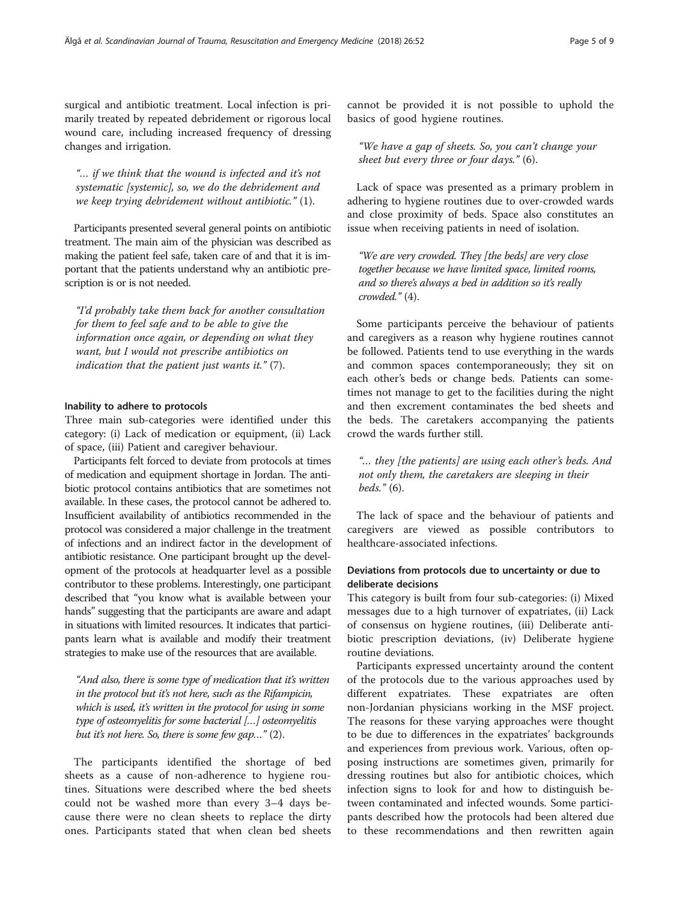surgical and antibiotic treatment. Local infection is primarily treated by repeated debridement or rigorous local wound care, including increased frequency of dressing changes and irrigation.

"… if we think that the wound is infected and it's not systematic [systemic], so, we do the debridement and we keep trying debridement without antibiotic." (1).

Participants presented several general points on antibiotic treatment. The main aim of the physician was described as making the patient feel safe, taken care of and that it is important that the patients understand why an antibiotic prescription is or is not needed.

"I'd probably take them back for another consultation for them to feel safe and to be able to give the information once again, or depending on what they want, but I would not prescribe antibiotics on indication that the patient just wants it." (7).

#### Inability to adhere to protocols

Three main sub-categories were identified under this category: (i) Lack of medication or equipment, (ii) Lack of space, (iii) Patient and caregiver behaviour.

Participants felt forced to deviate from protocols at times of medication and equipment shortage in Jordan. The antibiotic protocol contains antibiotics that are sometimes not available. In these cases, the protocol cannot be adhered to. Insufficient availability of antibiotics recommended in the protocol was considered a major challenge in the treatment of infections and an indirect factor in the development of antibiotic resistance. One participant brought up the development of the protocols at headquarter level as a possible contributor to these problems. Interestingly, one participant described that "you know what is available between your hands" suggesting that the participants are aware and adapt in situations with limited resources. It indicates that participants learn what is available and modify their treatment strategies to make use of the resources that are available.

"And also, there is some type of medication that it's written in the protocol but it's not here, such as the Rifampicin, which is used, it's written in the protocol for using in some type of osteomyelitis for some bacterial […] osteomyelitis but it's not here. So, there is some few gap..." (2).

The participants identified the shortage of bed sheets as a cause of non-adherence to hygiene routines. Situations were described where the bed sheets could not be washed more than every 3–4 days because there were no clean sheets to replace the dirty ones. Participants stated that when clean bed sheets

cannot be provided it is not possible to uphold the basics of good hygiene routines.

"We have a gap of sheets. So, you can't change your sheet but every three or four days." (6).

Lack of space was presented as a primary problem in adhering to hygiene routines due to over-crowded wards and close proximity of beds. Space also constitutes an issue when receiving patients in need of isolation.

"We are very crowded. They [the beds] are very close together because we have limited space, limited rooms, and so there's always a bed in addition so it's really crowded." (4).

Some participants perceive the behaviour of patients and caregivers as a reason why hygiene routines cannot be followed. Patients tend to use everything in the wards and common spaces contemporaneously; they sit on each other's beds or change beds. Patients can sometimes not manage to get to the facilities during the night and then excrement contaminates the bed sheets and the beds. The caretakers accompanying the patients crowd the wards further still.

"… they [the patients] are using each other's beds. And not only them, the caretakers are sleeping in their beds." (6).

The lack of space and the behaviour of patients and caregivers are viewed as possible contributors to healthcare-associated infections.

## Deviations from protocols due to uncertainty or due to deliberate decisions

This category is built from four sub-categories: (i) Mixed messages due to a high turnover of expatriates, (ii) Lack of consensus on hygiene routines, (iii) Deliberate antibiotic prescription deviations, (iv) Deliberate hygiene routine deviations.

Participants expressed uncertainty around the content of the protocols due to the various approaches used by different expatriates. These expatriates are often non-Jordanian physicians working in the MSF project. The reasons for these varying approaches were thought to be due to differences in the expatriates' backgrounds and experiences from previous work. Various, often opposing instructions are sometimes given, primarily for dressing routines but also for antibiotic choices, which infection signs to look for and how to distinguish between contaminated and infected wounds. Some participants described how the protocols had been altered due to these recommendations and then rewritten again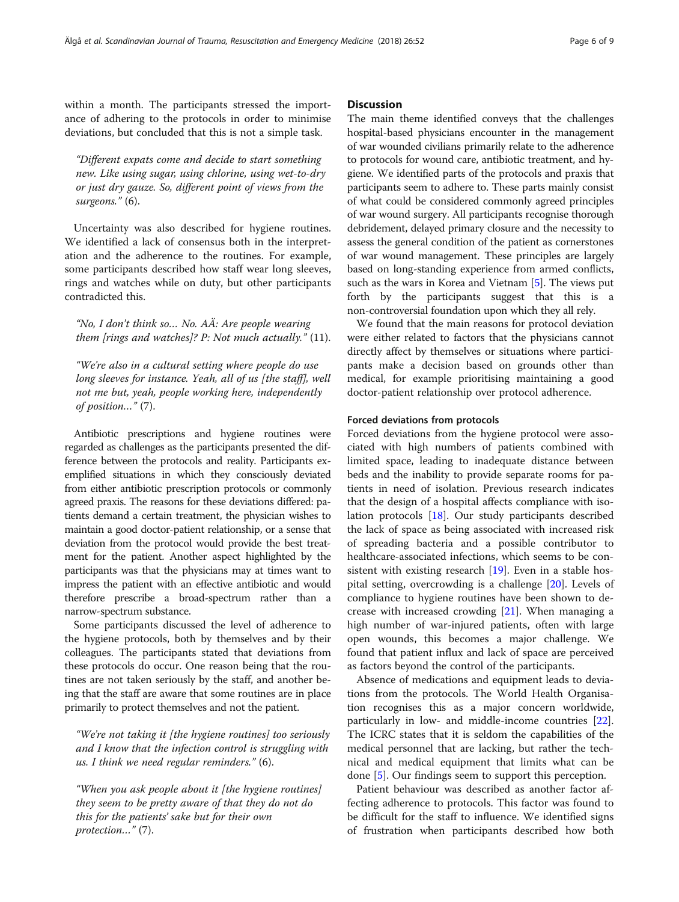within a month. The participants stressed the importance of adhering to the protocols in order to minimise deviations, but concluded that this is not a simple task.

"Different expats come and decide to start something new. Like using sugar, using chlorine, using wet-to-dry or just dry gauze. So, different point of views from the surgeons." (6).

Uncertainty was also described for hygiene routines. We identified a lack of consensus both in the interpretation and the adherence to the routines. For example, some participants described how staff wear long sleeves, rings and watches while on duty, but other participants contradicted this.

"No, I don't think so… No. AÄ: Are people wearing them [rings and watches]? P: Not much actually." (11).

"We're also in a cultural setting where people do use long sleeves for instance. Yeah, all of us [the staff], well not me but, yeah, people working here, independently of position…" (7).

Antibiotic prescriptions and hygiene routines were regarded as challenges as the participants presented the difference between the protocols and reality. Participants exemplified situations in which they consciously deviated from either antibiotic prescription protocols or commonly agreed praxis. The reasons for these deviations differed: patients demand a certain treatment, the physician wishes to maintain a good doctor-patient relationship, or a sense that deviation from the protocol would provide the best treatment for the patient. Another aspect highlighted by the participants was that the physicians may at times want to impress the patient with an effective antibiotic and would therefore prescribe a broad-spectrum rather than a narrow-spectrum substance.

Some participants discussed the level of adherence to the hygiene protocols, both by themselves and by their colleagues. The participants stated that deviations from these protocols do occur. One reason being that the routines are not taken seriously by the staff, and another being that the staff are aware that some routines are in place primarily to protect themselves and not the patient.

"We're not taking it [the hygiene routines] too seriously and I know that the infection control is struggling with us. I think we need regular reminders." (6).

"When you ask people about it [the hygiene routines] they seem to be pretty aware of that they do not do this for the patients' sake but for their own protection…" (7).

#### **Discussion**

The main theme identified conveys that the challenges hospital-based physicians encounter in the management of war wounded civilians primarily relate to the adherence to protocols for wound care, antibiotic treatment, and hygiene. We identified parts of the protocols and praxis that participants seem to adhere to. These parts mainly consist of what could be considered commonly agreed principles of war wound surgery. All participants recognise thorough debridement, delayed primary closure and the necessity to assess the general condition of the patient as cornerstones of war wound management. These principles are largely based on long-standing experience from armed conflicts, such as the wars in Korea and Vietnam [[5\]](#page-8-0). The views put forth by the participants suggest that this is a non-controversial foundation upon which they all rely.

We found that the main reasons for protocol deviation were either related to factors that the physicians cannot directly affect by themselves or situations where participants make a decision based on grounds other than medical, for example prioritising maintaining a good doctor-patient relationship over protocol adherence.

#### Forced deviations from protocols

Forced deviations from the hygiene protocol were associated with high numbers of patients combined with limited space, leading to inadequate distance between beds and the inability to provide separate rooms for patients in need of isolation. Previous research indicates that the design of a hospital affects compliance with isolation protocols [[18\]](#page-8-0). Our study participants described the lack of space as being associated with increased risk of spreading bacteria and a possible contributor to healthcare-associated infections, which seems to be con-sistent with existing research [[19\]](#page-8-0). Even in a stable hospital setting, overcrowding is a challenge [[20](#page-8-0)]. Levels of compliance to hygiene routines have been shown to decrease with increased crowding [[21](#page-8-0)]. When managing a high number of war-injured patients, often with large open wounds, this becomes a major challenge. We found that patient influx and lack of space are perceived as factors beyond the control of the participants.

Absence of medications and equipment leads to deviations from the protocols. The World Health Organisation recognises this as a major concern worldwide, particularly in low- and middle-income countries [\[22](#page-8-0)]. The ICRC states that it is seldom the capabilities of the medical personnel that are lacking, but rather the technical and medical equipment that limits what can be done [[5\]](#page-8-0). Our findings seem to support this perception.

Patient behaviour was described as another factor affecting adherence to protocols. This factor was found to be difficult for the staff to influence. We identified signs of frustration when participants described how both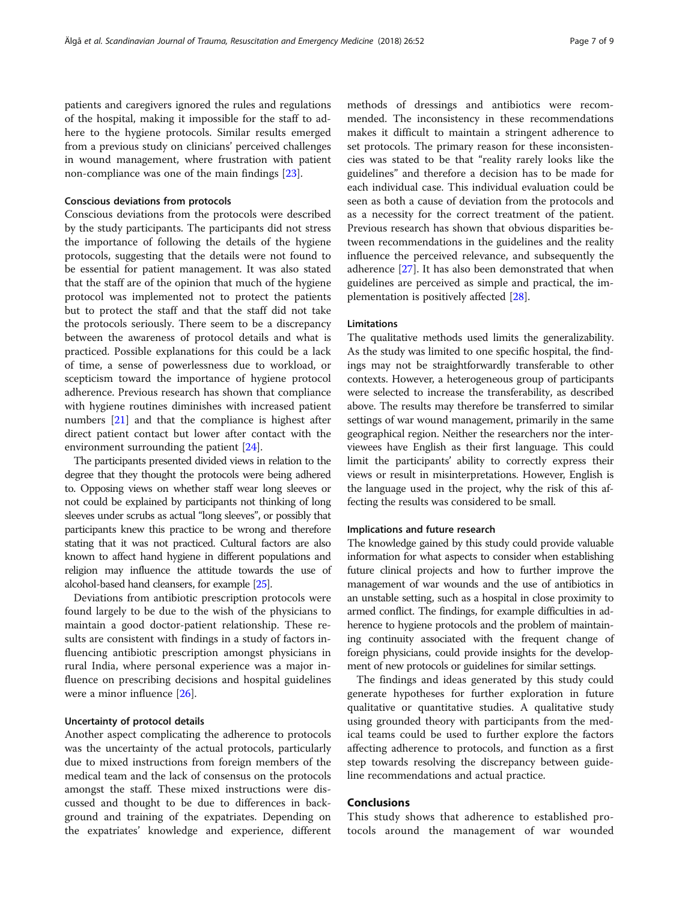patients and caregivers ignored the rules and regulations of the hospital, making it impossible for the staff to adhere to the hygiene protocols. Similar results emerged from a previous study on clinicians' perceived challenges in wound management, where frustration with patient non-compliance was one of the main findings [[23](#page-8-0)].

#### Conscious deviations from protocols

Conscious deviations from the protocols were described by the study participants. The participants did not stress the importance of following the details of the hygiene protocols, suggesting that the details were not found to be essential for patient management. It was also stated that the staff are of the opinion that much of the hygiene protocol was implemented not to protect the patients but to protect the staff and that the staff did not take the protocols seriously. There seem to be a discrepancy between the awareness of protocol details and what is practiced. Possible explanations for this could be a lack of time, a sense of powerlessness due to workload, or scepticism toward the importance of hygiene protocol adherence. Previous research has shown that compliance with hygiene routines diminishes with increased patient numbers [\[21](#page-8-0)] and that the compliance is highest after direct patient contact but lower after contact with the environment surrounding the patient [\[24](#page-8-0)].

The participants presented divided views in relation to the degree that they thought the protocols were being adhered to. Opposing views on whether staff wear long sleeves or not could be explained by participants not thinking of long sleeves under scrubs as actual "long sleeves", or possibly that participants knew this practice to be wrong and therefore stating that it was not practiced. Cultural factors are also known to affect hand hygiene in different populations and religion may influence the attitude towards the use of alcohol-based hand cleansers, for example [[25](#page-8-0)].

Deviations from antibiotic prescription protocols were found largely to be due to the wish of the physicians to maintain a good doctor-patient relationship. These results are consistent with findings in a study of factors influencing antibiotic prescription amongst physicians in rural India, where personal experience was a major influence on prescribing decisions and hospital guidelines were a minor influence [[26](#page-8-0)].

#### Uncertainty of protocol details

Another aspect complicating the adherence to protocols was the uncertainty of the actual protocols, particularly due to mixed instructions from foreign members of the medical team and the lack of consensus on the protocols amongst the staff. These mixed instructions were discussed and thought to be due to differences in background and training of the expatriates. Depending on the expatriates' knowledge and experience, different

methods of dressings and antibiotics were recommended. The inconsistency in these recommendations makes it difficult to maintain a stringent adherence to set protocols. The primary reason for these inconsistencies was stated to be that "reality rarely looks like the guidelines" and therefore a decision has to be made for each individual case. This individual evaluation could be seen as both a cause of deviation from the protocols and as a necessity for the correct treatment of the patient. Previous research has shown that obvious disparities between recommendations in the guidelines and the reality influence the perceived relevance, and subsequently the adherence [[27](#page-8-0)]. It has also been demonstrated that when guidelines are perceived as simple and practical, the implementation is positively affected [\[28\]](#page-8-0).

#### Limitations

The qualitative methods used limits the generalizability. As the study was limited to one specific hospital, the findings may not be straightforwardly transferable to other contexts. However, a heterogeneous group of participants were selected to increase the transferability, as described above. The results may therefore be transferred to similar settings of war wound management, primarily in the same geographical region. Neither the researchers nor the interviewees have English as their first language. This could limit the participants' ability to correctly express their views or result in misinterpretations. However, English is the language used in the project, why the risk of this affecting the results was considered to be small.

### Implications and future research

The knowledge gained by this study could provide valuable information for what aspects to consider when establishing future clinical projects and how to further improve the management of war wounds and the use of antibiotics in an unstable setting, such as a hospital in close proximity to armed conflict. The findings, for example difficulties in adherence to hygiene protocols and the problem of maintaining continuity associated with the frequent change of foreign physicians, could provide insights for the development of new protocols or guidelines for similar settings.

The findings and ideas generated by this study could generate hypotheses for further exploration in future qualitative or quantitative studies. A qualitative study using grounded theory with participants from the medical teams could be used to further explore the factors affecting adherence to protocols, and function as a first step towards resolving the discrepancy between guideline recommendations and actual practice.

#### Conclusions

This study shows that adherence to established protocols around the management of war wounded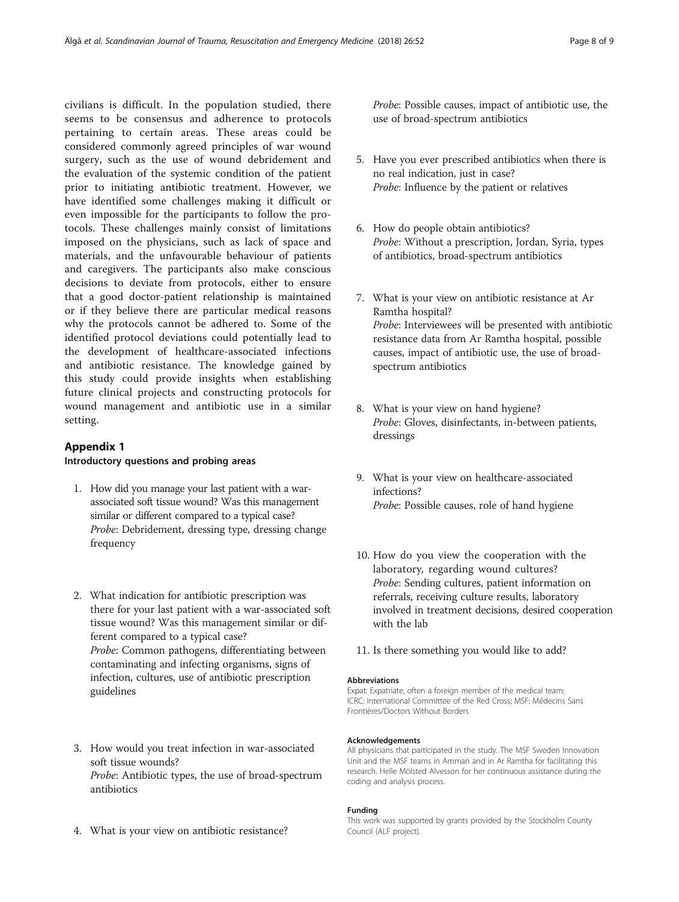<span id="page-7-0"></span>civilians is difficult. In the population studied, there seems to be consensus and adherence to protocols pertaining to certain areas. These areas could be considered commonly agreed principles of war wound surgery, such as the use of wound debridement and the evaluation of the systemic condition of the patient prior to initiating antibiotic treatment. However, we have identified some challenges making it difficult or even impossible for the participants to follow the protocols. These challenges mainly consist of limitations imposed on the physicians, such as lack of space and materials, and the unfavourable behaviour of patients and caregivers. The participants also make conscious decisions to deviate from protocols, either to ensure that a good doctor-patient relationship is maintained or if they believe there are particular medical reasons why the protocols cannot be adhered to. Some of the identified protocol deviations could potentially lead to the development of healthcare-associated infections and antibiotic resistance. The knowledge gained by this study could provide insights when establishing future clinical projects and constructing protocols for wound management and antibiotic use in a similar setting.

# Appendix 1

## Introductory questions and probing areas

- 1. How did you manage your last patient with a warassociated soft tissue wound? Was this management similar or different compared to a typical case? Probe: Debridement, dressing type, dressing change frequency
- 2. What indication for antibiotic prescription was there for your last patient with a war-associated soft tissue wound? Was this management similar or different compared to a typical case? Probe: Common pathogens, differentiating between contaminating and infecting organisms, signs of infection, cultures, use of antibiotic prescription guidelines
- 3. How would you treat infection in war-associated soft tissue wounds? Probe: Antibiotic types, the use of broad-spectrum antibiotics
- 4. What is your view on antibiotic resistance?

Probe: Possible causes, impact of antibiotic use, the use of broad-spectrum antibiotics

- 5. Have you ever prescribed antibiotics when there is no real indication, just in case? Probe: Influence by the patient or relatives
- 6. How do people obtain antibiotics? Probe: Without a prescription, Jordan, Syria, types of antibiotics, broad-spectrum antibiotics
- 7. What is your view on antibiotic resistance at Ar Ramtha hospital? Probe: Interviewees will be presented with antibiotic resistance data from Ar Ramtha hospital, possible causes, impact of antibiotic use, the use of broadspectrum antibiotics
- 8. What is your view on hand hygiene? Probe: Gloves, disinfectants, in-between patients, dressings
- 9. What is your view on healthcare-associated infections? Probe: Possible causes, role of hand hygiene
- 10. How do you view the cooperation with the laboratory, regarding wound cultures? Probe: Sending cultures, patient information on referrals, receiving culture results, laboratory involved in treatment decisions, desired cooperation with the lab
- 11. Is there something you would like to add?

#### Abbreviations

Expat: Expatriate, often a foreign member of the medical team; ICRC: International Committee of the Red Cross; MSF: Médecins Sans Frontières/Doctors Without Borders

#### Acknowledgements

All physicians that participated in the study. The MSF Sweden Innovation Unit and the MSF teams in Amman and in Ar Ramtha for facilitating this research. Helle Mölsted Alvesson for her continuous assistance during the coding and analysis process.

#### Funding

This work was supported by grants provided by the Stockholm County Council (ALF project).